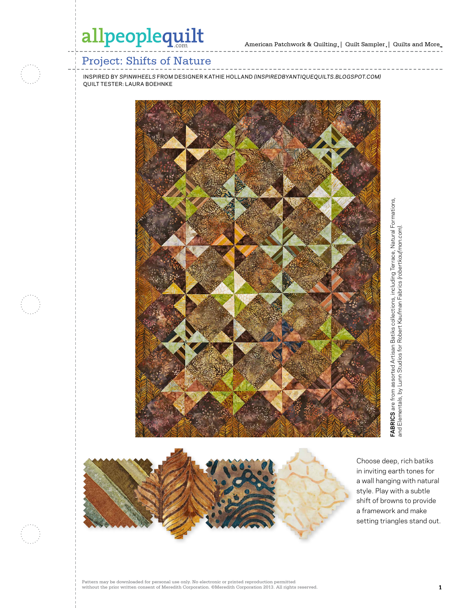### Project: Shifts of Nature

inspired by *Spinwheels* from designer kathie holland *(inspiredbyantiquequilts.blogspot.com)* quilt tester: laura boehnke







Choose deep, rich batiks in inviting earth tones for a wall hanging with natural style. Play with a subtle shift of browns to provide a framework and make setting triangles stand out.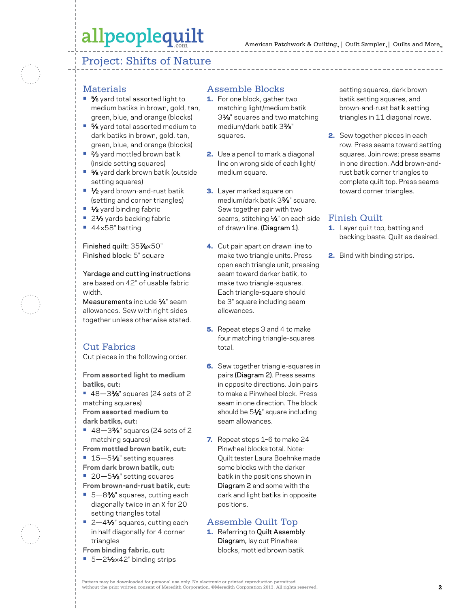## allpeoplequilt

### Project: Shifts of Nature

#### **Materials**

- **•** 5⁄8 yard total assorted light to medium batiks in brown, gold, tan, green, blue, and orange (blocks)
- **•** 5⁄8 yard total assorted medium to dark batiks in brown, gold, tan, green, blue, and orange (blocks)
- **•** 2⁄3 yard mottled brown batik (inside setting squares)
- **•** 5⁄8 yard dark brown batik (outside setting squares)
- <sup>1</sup>⁄<sub>2</sub> yard brown-and-rust batik (setting and corner triangles)
- **•** 1⁄2 yard binding fabric
- 2<sup>1</sup>⁄<sub>2</sub> yards backing fabric
- **•** 44×58" batting

Finished quilt: 357⁄8×50" Finished block: 5" square

Yardage and cutting instructions are based on 42" of usable fabric width.

Measurements include  $\frac{1}{4}$ " seam allowances. Sew with right sides together unless otherwise stated.

#### Cut Fabrics

Cut pieces in the following order.

**From assorted light to medium batiks, cut:**

- 48–3%<sup>\*</sup> squares (24 sets of 2 matching squares) **From assorted medium to dark batiks, cut:**
- 48-3<sup>3</sup>%<sup>"</sup> squares (24 sets of 2 matching squares)
- **From mottled brown batik, cut:**
- 15–51⁄2" setting squares
- **From dark brown batik, cut:**
- 20–5<sup>1/2</sup> setting squares
- **From brown-and-rust batik, cut:**
- **•** 5—83⁄8" squares, cutting each diagonally twice in an X for 20 setting triangles total
- 2-4<sup>1</sup>⁄2" squares, cutting each in half diagonally for 4 corner triangles
- **From binding fabric, cut:**
- 5-21⁄2×42" binding strips

#### Assemble Blocks

- 1. For one block, gather two matching light/medium batik 33⁄8" squares and two matching medium/dark batik 33⁄8" squares.
- 2. Use a pencil to mark a diagonal line on wrong side of each light/ medium square.
- **3.** Layer marked square on medium/dark batik 33⁄8" square. Sew together pair with two seams, stitching 1/4" on each side of drawn line. (Diagram 1).
- 4. Cut pair apart on drawn line to make two triangle units. Press open each triangle unit, pressing seam toward darker batik, to make two triangle-squares. Each triangle-square should be 3" square including seam allowances.
- **5.** Repeat steps 3 and 4 to make four matching triangle-squares total.
- **6.** Sew together triangle-squares in pairs (Diagram 2). Press seams in opposite directions. Join pairs to make a Pinwheel block. Press seam in one direction. The block should be 51⁄2" square including seam allowances.
- 7. Repeat steps 1-6 to make 24 Pinwheel blocks total. Note: Quilt tester Laura Boehnke made some blocks with the darker batik in the positions shown in Diagram 2 and some with the dark and light batiks in opposite positions.

#### Assemble Quilt Top

1. Referring to Quilt Assembly Diagram, lay out Pinwheel blocks, mottled brown batik

setting squares, dark brown batik setting squares, and brown-and-rust batik setting triangles in 11 diagonal rows.

2. Sew together pieces in each row. Press seams toward setting squares. Join rows; press seams in one direction. Add brown-andrust batik corner triangles to complete quilt top. Press seams toward corner triangles.

#### Finish Quilt

- 1. Layer quilt top, batting and backing; baste. Quilt as desired.
- 2. Bind with binding strips.